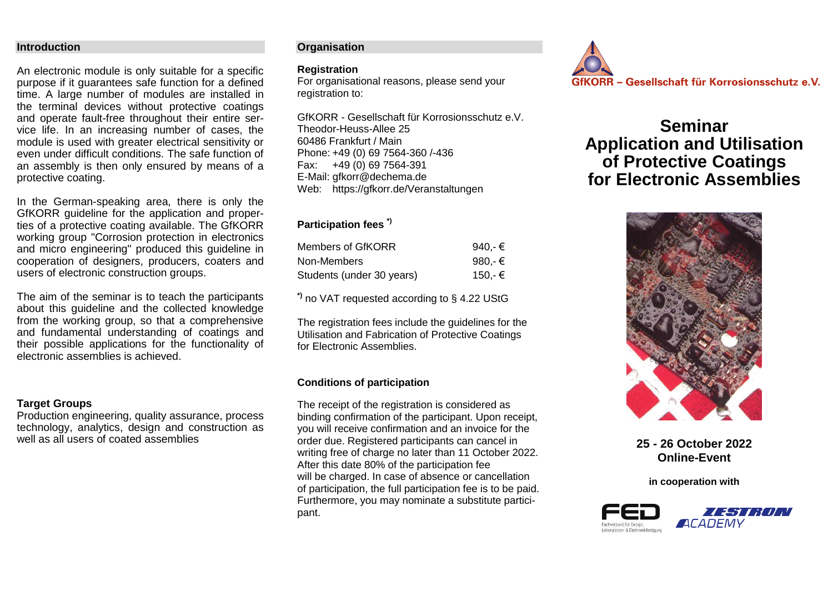## **Introduction**

An electronic module is only suitable for a specific purpose if it guarantees safe function for a defined time. A large number of modules are installed in the terminal devices without protective coatings and operate fault-free throughout their entire service life. In an increasing number of cases, the module is used with greater electrical sensitivity or even under difficult conditions. The safe function of an assembly is then only ensured by means of a protective coating.

In the German-speaking area, there is only the GfKORR guideline for the application and properties of a protective coating available. The GfKORR working group "Corrosion protection in electronics and micro engineering" produced this guideline in cooperation of designers, producers, coaters and users of electronic construction groups.

The aim of the seminar is to teach the participants about this guideline and the collected knowledge from the working group, so that a comprehensive and fundamental understanding of coatings and their possible applications for the functionality of electronic assemblies is achieved.

# **Target Groups**

Production engineering, quality assurance, process technology, analytics, design and construction as well as all users of coated assemblies

## **Organisation**

### **Registration**

For organisational reasons, please send your registration to:

GfKORR - Gesellschaft für Korrosionsschutz e.V. Theodor-Heuss-Allee 25 60486 Frankfurt / Main Phone: +49 (0) 69 7564-360 /-436 Fax: +49 (0) 69 7564-391 E-Mail: [gfkorr@dechema.de](mailto:gfkorr@dechema.de) Web: https://gfkorr.de/Veranstaltungen

# **Participation fees \*)**

| Members of GfKORR         | 940.-€ |
|---------------------------|--------|
| Non-Members               | 980.-€ |
| Students (under 30 years) | 150.-€ |

**\*)** no VAT requested according to § 4.22 UStG

The registration fees include the guidelines for the Utilisation and Fabrication of Protective Coatings for Electronic Assemblies.

# **Conditions of participation**

The receipt of the registration is considered as binding confirmation of the participant. Upon receipt, you will receive confirmation and an invoice for the order due. Registered participants can cancel in writing free of charge no later than 11 October 2022. After this date 80% of the participation fee will be charged. In case of absence or cancellation of participation, the full participation fee is to be paid. Furthermore, you may nominate a substitute participant.



# **Seminar Application and Utilisation of Protective Coatings for Electronic Assemblies**



**25 - 26 October 2022 Online-Event**

**in cooperation with**

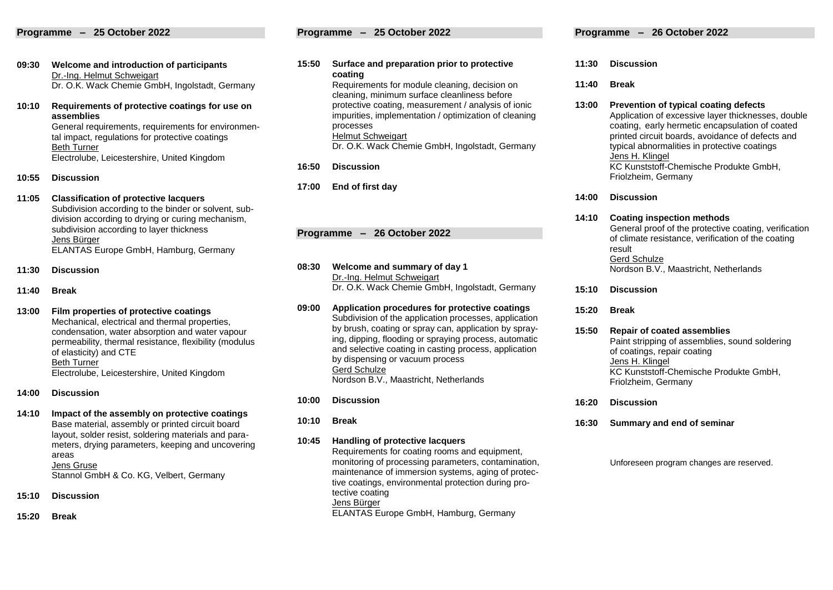### **Programme – 25 October 2022**

- **09:30 Welcome and introduction of participants** Dr.-Ing. Helmut Schweigart Dr. O.K. Wack Chemie GmbH, Ingolstadt, Germany
- **10:10 Requirements of protective coatings for use on assemblies**

General requirements, requirements for environmental impact, regulations for protective coatings Beth Turner Electrolube, Leicestershire, United Kingdom

- **10:55 Discussion**
- **11:05 Classification of protective lacquers** Subdivision according to the binder or solvent, subdivision according to drying or curing mechanism, subdivision according to layer thickness Jens Bürger ELANTAS Europe GmbH, Hamburg, Germany
- **11:30 Discussion**
- **11:40 Break**
- **13:00 Film properties of protective coatings** Mechanical, electrical and thermal properties, condensation, water absorption and water vapour permeability, thermal resistance, flexibility (modulus of elasticity) and CTE Beth Turner Electrolube, Leicestershire, United Kingdom
- **14:00 Discussion**
- **14:10 Impact of the assembly on protective coatings** Base material, assembly or printed circuit board layout, solder resist, soldering materials and parameters, drying parameters, keeping and uncovering areas Jens Gruse Stannol GmbH & Co. KG, Velbert, Germany
- **15:10 Discussion**
- **15:20 Break**

### **Programme – 25 October 2022**

- **15:50 Surface and preparation prior to protective coating** Requirements for module cleaning, decision on cleaning, minimum surface cleanliness before protective coating, measurement / analysis of ionic impurities, implementation / optimization of cleaning processes Helmut Schweigart Dr. O.K. Wack Chemie GmbH, Ingolstadt, Germany
- **16:50 Discussion**
- **17:00 End of first day**

**Programme – 26 October 2022** 

**08:30 Welcome and summary of day 1** Dr.-Ing. Helmut Schweigart Dr. O.K. Wack Chemie GmbH, Ingolstadt, Germany

- **09:00 Application procedures for protective coatings** Subdivision of the application processes, application by brush, coating or spray can, application by spraying, dipping, flooding or spraying process, automatic and selective coating in casting process, application by dispensing or vacuum process Gerd Schulze Nordson B.V., Maastricht, Netherlands
- **10:00 Discussion**
- **10:10 Break**

**10:45 Handling of protective lacquers**

Requirements for coating rooms and equipment, monitoring of processing parameters, contamination, maintenance of immersion systems, aging of protective coatings, environmental protection during protective coating Jens Bürger ELANTAS Europe GmbH, Hamburg, Germany

- **11:30 Discussion**
- **11:40 Break**

**13:00 Prevention of typical coating defects** Application of excessive layer thicknesses, double coating, early hermetic encapsulation of coated printed circuit boards, avoidance of defects and typical abnormalities in protective coatings Jens H. Klingel KC Kunststoff-Chemische Produkte GmbH, Friolzheim, Germany

**14:00 Discussion**

### **14:10 Coating inspection methods** General proof of the protective coating, verification of climate resistance, verification of the coating result Gerd Schulze Nordson B.V., Maastricht, Netherlands

- **15:10 Discussion**
- **15:20 Break**
- **15:50 Repair of coated assemblies** Paint stripping of assemblies, sound soldering of coatings, repair coating Jens H. Klingel KC Kunststoff-Chemische Produkte GmbH, Friolzheim, Germany
- **16:20 Discussion**
- **16:30 Summary and end of seminar**

Unforeseen program changes are reserved.